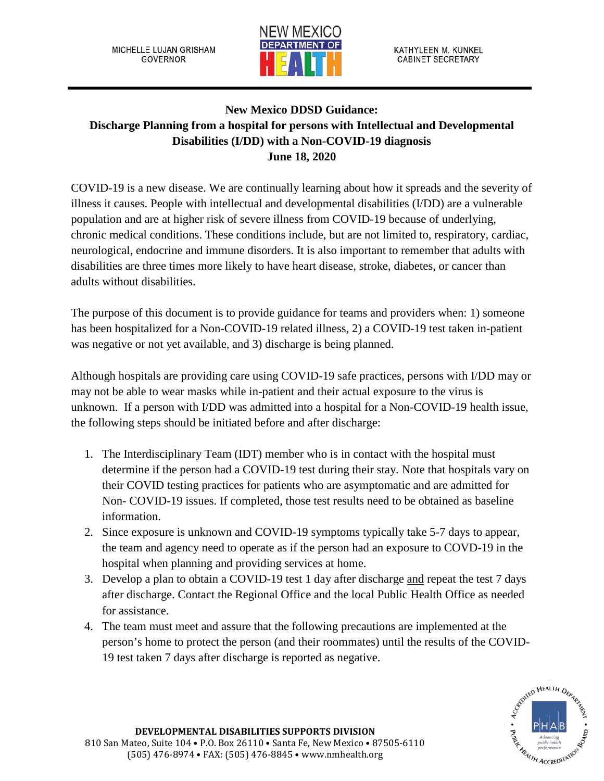MICHELLE LUJAN GRISHAM **GOVERNOR** 



KATHYLEEN M. KUNKEL **CABINET SECRETARY** 

## **New Mexico DDSD Guidance: Discharge Planning from a hospital for persons with Intellectual and Developmental Disabilities (I/DD) with a Non-COVID-19 diagnosis June 18, 2020**

COVID-19 is a new disease. We are continually learning about how it spreads and the severity of illness it causes. People with intellectual and developmental disabilities (I/DD) are a vulnerable population and are at higher risk of severe illness from COVID-19 because of underlying, chronic medical conditions. These conditions include, but are not limited to, respiratory, cardiac, neurological, endocrine and immune disorders. It is also important to remember that adults with disabilities are three times more likely to have heart disease, stroke, diabetes, or cancer than adults without disabilities.

The purpose of this document is to provide guidance for teams and providers when: 1) someone has been hospitalized for a Non-COVID-19 related illness, 2) a COVID-19 test taken in-patient was negative or not yet available, and 3) discharge is being planned.

Although hospitals are providing care using COVID-19 safe practices, persons with I/DD may or may not be able to wear masks while in-patient and their actual exposure to the virus is unknown. If a person with I/DD was admitted into a hospital for a Non-COVID-19 health issue, the following steps should be initiated before and after discharge:

- 1. The Interdisciplinary Team (IDT) member who is in contact with the hospital must determine if the person had a COVID-19 test during their stay. Note that hospitals vary on their COVID testing practices for patients who are asymptomatic and are admitted for Non- COVID-19 issues. If completed, those test results need to be obtained as baseline information.
- 2. Since exposure is unknown and COVID-19 symptoms typically take 5-7 days to appear, the team and agency need to operate as if the person had an exposure to COVD-19 in the hospital when planning and providing services at home.
- 3. Develop a plan to obtain a COVID-19 test 1 day after discharge and repeat the test 7 days after discharge. Contact the Regional Office and the local Public Health Office as needed for assistance.
- 4. The team must meet and assure that the following precautions are implemented at the person's home to protect the person (and their roommates) until the results of the COVID-19 test taken 7 days after discharge is reported as negative.

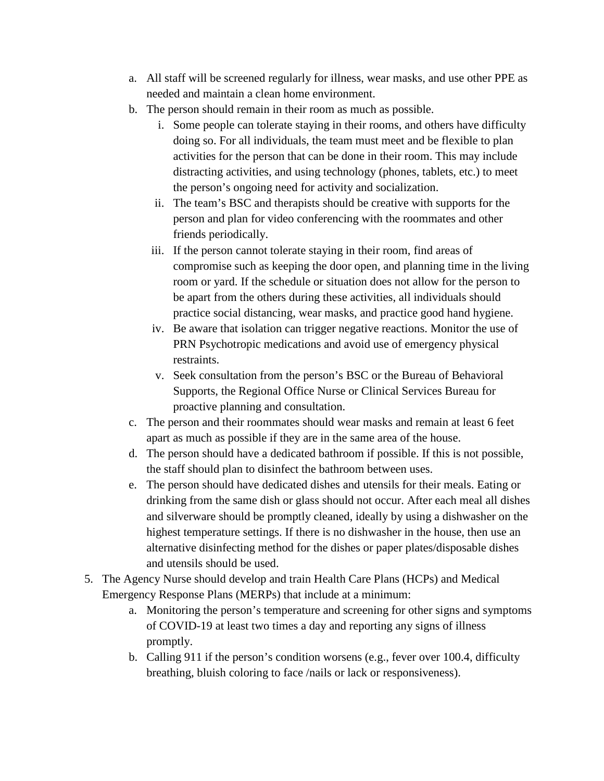- a. All staff will be screened regularly for illness, wear masks, and use other PPE as needed and maintain a clean home environment.
- b. The person should remain in their room as much as possible.
	- i. Some people can tolerate staying in their rooms, and others have difficulty doing so. For all individuals, the team must meet and be flexible to plan activities for the person that can be done in their room. This may include distracting activities, and using technology (phones, tablets, etc.) to meet the person's ongoing need for activity and socialization.
	- ii. The team's BSC and therapists should be creative with supports for the person and plan for video conferencing with the roommates and other friends periodically.
	- iii. If the person cannot tolerate staying in their room, find areas of compromise such as keeping the door open, and planning time in the living room or yard. If the schedule or situation does not allow for the person to be apart from the others during these activities, all individuals should practice social distancing, wear masks, and practice good hand hygiene.
	- iv. Be aware that isolation can trigger negative reactions. Monitor the use of PRN Psychotropic medications and avoid use of emergency physical restraints.
	- v. Seek consultation from the person's BSC or the Bureau of Behavioral Supports, the Regional Office Nurse or Clinical Services Bureau for proactive planning and consultation.
- c. The person and their roommates should wear masks and remain at least 6 feet apart as much as possible if they are in the same area of the house.
- d. The person should have a dedicated bathroom if possible. If this is not possible, the staff should plan to disinfect the bathroom between uses.
- e. The person should have dedicated dishes and utensils for their meals. Eating or drinking from the same dish or glass should not occur. After each meal all dishes and silverware should be promptly cleaned, ideally by using a dishwasher on the highest temperature settings. If there is no dishwasher in the house, then use an alternative disinfecting method for the dishes or paper plates/disposable dishes and utensils should be used.
- 5. The Agency Nurse should develop and train Health Care Plans (HCPs) and Medical Emergency Response Plans (MERPs) that include at a minimum:
	- a. Monitoring the person's temperature and screening for other signs and symptoms of COVID-19 at least two times a day and reporting any signs of illness promptly.
	- b. Calling 911 if the person's condition worsens (e.g., fever over 100.4, difficulty breathing, bluish coloring to face /nails or lack or responsiveness).